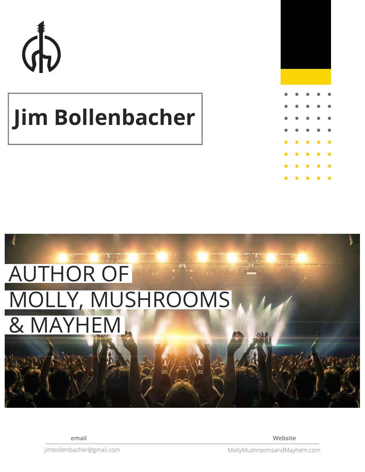

# **Jim Bollenbacher**





**Website**

jimbollenbacher@gmail.com

MollyMushroomsandMayhem.com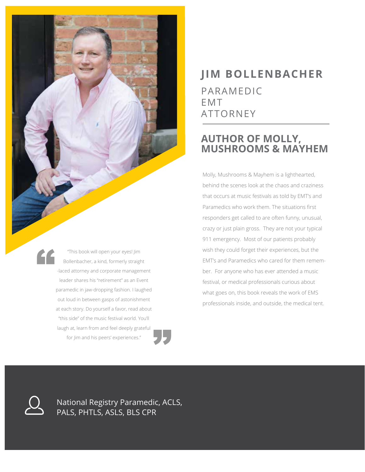" "This book will open your eyes! Jim Bollenbacher, a kind, formerly straight -laced attorney and corporate management leader shares his "retirement" as an Event paramedic in jaw-dropping fashion. I laughed out loud in between gasps of astonishment at each story. Do yourself a favor, read about "this side" of the music festival world. You'll laugh at, learn from and feel deeply grateful for Jim and his peers' experiences."

#### **JIM BOLLENBACHER**

PARAMEDIC EMT ATTORNEY

#### **AUTHOR OF MOLLY, MUSHROOMS & MAYHEM**

Molly, Mushrooms & Mayhem is a lighthearted, behind the scenes look at the chaos and craziness that occurs at music festivals as told by EMT's and Paramedics who work them. The situations first responders get called to are often funny, unusual, crazy or just plain gross. They are not your typical 911 emergency. Most of our patients probably wish they could forget their experiences, but the EMT's and Paramedics who cared for them remember. For anyone who has ever attended a music festival, or medical professionals curious about what goes on, this book reveals the work of EMS professionals inside, and outside, the medical tent.



National Registry Paramedic, ACLS, PALS, PHTLS, ASLS, BLS CPR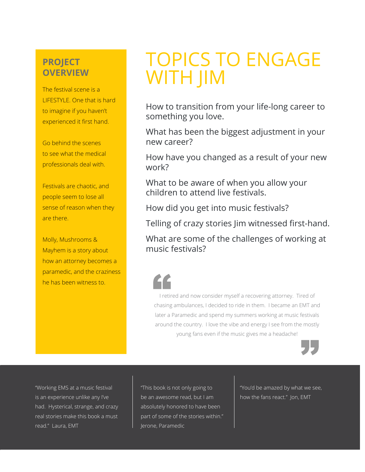#### **PROJECT OVERVIEW**

The festival scene is a LIFESTYLE. One that is hard to imagine if you haven't experienced it first hand.

Go behind the scenes to see what the medical professionals deal with.

Festivals are chaotic, and people seem to lose all sense of reason when they are there.

Molly, Mushrooms & Mayhem is a story about how an attorney becomes a paramedic, and the craziness he has been witness to.

### TOPICS TO ENGAGE WITH JIM

How to transition from your life-long career to something you love.

What has been the biggest adjustment in your new career?

How have you changed as a result of your new work?

What to be aware of when you allow your children to attend live festivals.

How did you get into music festivals?

Telling of crazy stories Jim witnessed first-hand.

What are some of the challenges of working at music festivals?

I retired and now consider myself a recovering attorney. Tired of chasing ambulances, I decided to ride in them. I became an EMT and later a Paramedic and spend my summers working at music festivals around the country. I love the vibe and energy I see from the mostly young fans even if the music gives me a headache!

"Working EMS at a music festival is an experience unlike any I've had. Hysterical, strange, and crazy real stories make this book a must read." Laura, EMT

"This book is not only going to be an awesome read, but I am absolutely honored to have been part of some of the stories within." Jerone, Paramedic

"You'd be amazed by what we see, how the fans react." Jon, EMT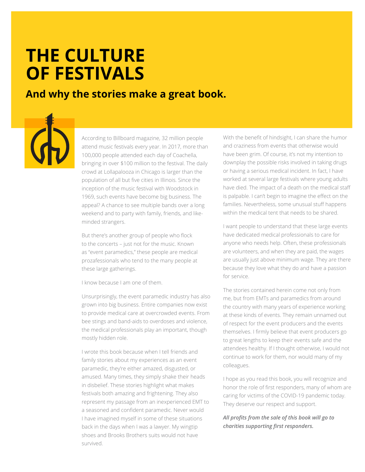### **THE CULTURE OF FESTIVALS**

#### **And why the stories make a great book.**



According to Billboard magazine, 32 million people attend music festivals every year. In 2017, more than 100,000 people attended each day of Coachella, bringing in over \$100 million to the festival. The daily crowd at Lollapalooza in Chicago is larger than the population of all but five cities in Illinois. Since the inception of the music festival with Woodstock in 1969, such events have become big business. The appeal? A chance to see multiple bands over a long weekend and to party with family, friends, and likeminded strangers.

But there's another group of people who flock to the concerts – just not for the music. Known as "event paramedics," these people are medical prozafessionals who tend to the many people at these large gatherings.

I know because I am one of them.

Unsurprisingly, the event paramedic industry has also grown into big business. Entire companies now exist to provide medical care at overcrowded events. From bee stings and band-aids to overdoses and violence, the medical professionals play an important, though mostly hidden role.

I wrote this book because when I tell friends and family stories about my experiences as an event paramedic, they're either amazed, disgusted, or amused. Many times, they simply shake their heads in disbelief. These stories highlight what makes festivals both amazing and frightening. They also represent my passage from an inexperienced EMT to a seasoned and confident paramedic. Never would I have imagined myself in some of these situations back in the days when I was a lawyer. My wingtip shoes and Brooks Brothers suits would not have survived.

With the benefit of hindsight, I can share the humor and craziness from events that otherwise would have been grim. Of course, it's not my intention to downplay the possible risks involved in taking drugs or having a serious medical incident. In fact, I have worked at several large festivals where young adults have died. The impact of a death on the medical staff is palpable. I can't begin to imagine the effect on the families. Nevertheless, some unusual stuff happens within the medical tent that needs to be shared.

I want people to understand that these large events have dedicated medical professionals to care for anyone who needs help. Often, these professionals are volunteers, and when they are paid, the wages are usually just above minimum wage. They are there because they love what they do and have a passion for service.

The stories contained herein come not only from me, but from EMTs and paramedics from around the country with many years of experience working at these kinds of events. They remain unnamed out of respect for the event producers and the events themselves. I firmly believe that event producers go to great lengths to keep their events safe and the attendees healthy. If I thought otherwise, I would not continue to work for them, nor would many of my colleagues.

I hope as you read this book, you will recognize and honor the role of first responders, many of whom are caring for victims of the COVID-19 pandemic today. They deserve our respect and support.

#### *All profits from the sale of this book will go to charities supporting first responders.*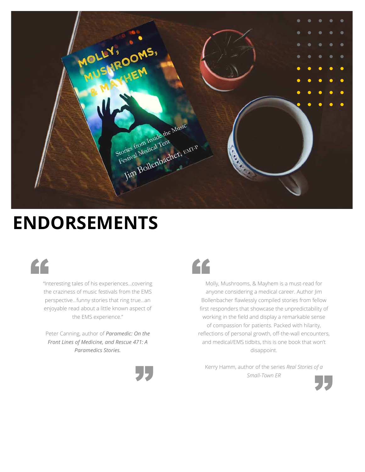

## **ENDORSEMENTS**



"Interesting tales of his experiences...covering the craziness of music festivals from the EMS perspective...funny stories that ring true...an enjoyable read about a little known aspect of the EMS experience."

Peter Canning, author of *Paramedic: On the Front Lines of Medicine, and Rescue 471: A Paramedics Stories.*





Molly, Mushrooms, & Mayhem is a must-read for anyone considering a medical career. Author Jim Bollenbacher flawlessly compiled stories from fellow first responders that showcase the unpredictability of working in the field and display a remarkable sense of compassion for patients. Packed with hilarity, reflections of personal growth, off-the-wall encounters, and medical/EMS tidbits, this is one book that won't disappoint.

Kerry Hamm, author of the series *Real Stories of a Small-Town ER*

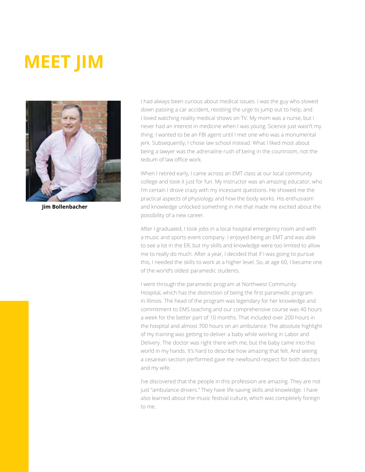# **MEET JIM**



**Jim Bollenbacher**

I had always been curious about medical issues. I was the guy who slowed down passing a car accident, resisting the urge to jump out to help, and I loved watching reality medical shows on TV. My mom was a nurse, but I never had an interest in medicine when I was young. Science just wasn't my thing. I wanted to be an FBI agent until I met one who was a monumental jerk. Subsequently, I chose law school instead. What I liked most about being a lawyer was the adrenaline rush of being in the courtroom, not the tedium of law office work.

When I retired early, I came across an EMT class at our local community college and took it just for fun. My instructor was an amazing educator, who I'm certain I drove crazy with my incessant questions. He showed me the practical aspects of physiology and how the body works. His enthusiasm and knowledge unlocked something in me that made me excited about the possibility of a new career.

After I graduated, I took jobs in a local hospital emergency room and with a music and sports event company. I enjoyed being an EMT and was able to see a lot in the ER, but my skills and knowledge were too limited to allow me to really do much. After a year, I decided that if I was going to pursue this, I needed the skills to work at a higher level. So, at age 60, I became one of the world's oldest paramedic students.

I went through the paramedic program at Northwest Community Hospital, which has the distinction of being the first paramedic program in Illinois. The head of the program was legendary for her knowledge and commitment to EMS teaching and our comprehensive course was 40 hours a week for the better part of 10 months. That included over 200 hours in the hospital and almost 700 hours on an ambulance. The absolute highlight of my training was getting to deliver a baby while working in Labor and Delivery. The doctor was right there with me, but the baby came into this world in my hands. It's hard to describe how amazing that felt. And seeing a cesarean section performed gave me newfound respect for both doctors and my wife.

I've discovered that the people in this profession are amazing. They are not just "ambulance drivers." They have life-saving skills and knowledge. I have also learned about the music festival culture, which was completely foreign to me.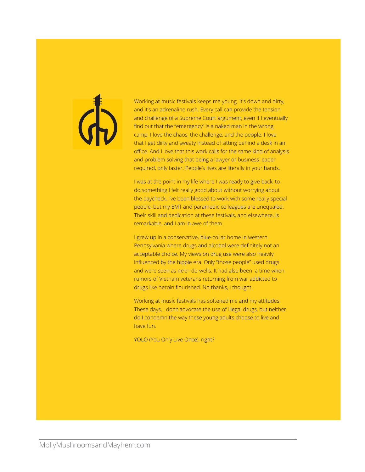

Working at music festivals keeps me young. It's down and dirty, and it's an adrenaline rush. Every call can provide the tension and challenge of a Supreme Court argument, even if I eventually find out that the "emergency" is a naked man in the wrong camp. I love the chaos, the challenge, and the people. I love that I get dirty and sweaty instead of sitting behind a desk in an office. And I love that this work calls for the same kind of analysis and problem solving that being a lawyer or business leader required, only faster. People's lives are literally in your hands.

I was at the point in my life where I was ready to give back, to do something I felt really good about without worrying about the paycheck. I've been blessed to work with some really special people, but my EMT and paramedic colleagues are unequaled. Their skill and dedication at these festivals, and elsewhere, is remarkable, and I am in awe of them.

I grew up in a conservative, blue-collar home in western Pennsylvania where drugs and alcohol were definitely not an acceptable choice. My views on drug use were also heavily influenced by the hippie era. Only "those people" used drugs and were seen as ne'er-do-wells. It had also been a time when rumors of Vietnam veterans returning from war addicted to drugs like heroin flourished. No thanks, I thought.

Working at music festivals has softened me and my attitudes. These days, I don't advocate the use of illegal drugs, but neither do I condemn the way these young adults choose to live and have fun.

YOLO (You Only Live Once), right?